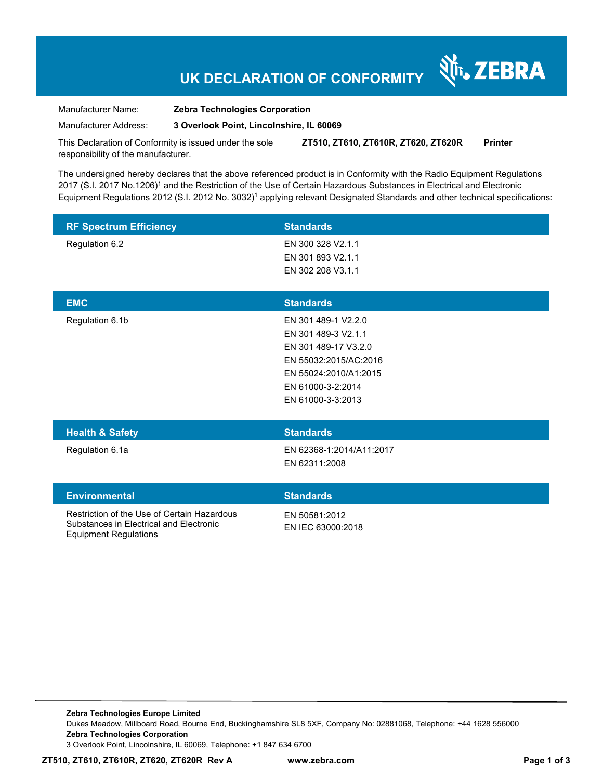## **UK DECLARATION OF CONFORMITY**

र्शे<sub>ं</sub> ZEBRA

Manufacturer Name: **Zebra Technologies Corporation** 

Manufacturer Address: **3 Overlook Point, Lincolnshire, IL 60069** 

This Declaration of Conformity is issued under the sole responsibility of the manufacturer. **ZT510, ZT610, ZT610R, ZT620, ZT620R Printer** 

The undersigned hereby declares that the above referenced product is in Conformity with the Radio Equipment Regulations 2017 (S.I. 2017 No.1206)<sup>1</sup> and the Restriction of the Use of Certain Hazardous Substances in Electrical and Electronic Equipment Regulations 2012 (S.I. 2012 No. 3032)<sup>1</sup> applying relevant Designated Standards and other technical specifications:

| <b>RF Spectrum Efficiency</b> | <b>Standards</b>     |  |
|-------------------------------|----------------------|--|
| Regulation 6.2                | EN 300 328 V2.1.1    |  |
|                               | EN 301 893 V2.1.1    |  |
|                               | EN 302 208 V3.1.1    |  |
|                               |                      |  |
|                               |                      |  |
| <b>EMC</b>                    | <b>Standards</b>     |  |
| Regulation 6.1b               | EN 301 489-1 V2.2.0  |  |
|                               | EN 301 489-3 V2.1.1  |  |
|                               | EN 301 489-17 V3.2.0 |  |

| <b>Health &amp; Safety</b> | <b>Standards</b>         |  |
|----------------------------|--------------------------|--|
| Regulation 6.1a            | EN 62368-1:2014/A11:2017 |  |
|                            | EN 62311:2008            |  |

#### **Environmental Standards**

Restriction of the Use of Certain Hazardous Substances in Electrical and Electronic Equipment Regulations

EN 50581:2012 EN IEC 63000:2018

EN 55024:2010/A1:2015 EN 61000-3-2:2014 EN 61000-3-3:2013

**Zebra Technologies Europe Limited**  Dukes Meadow, Millboard Road, Bourne End, Buckinghamshire SL8 5XF, Company No: 02881068, Telephone: +44 1628 556000 **Zebra Technologies Corporation**  3 Overlook Point, Lincolnshire, IL 60069, Telephone: +1 847 634 6700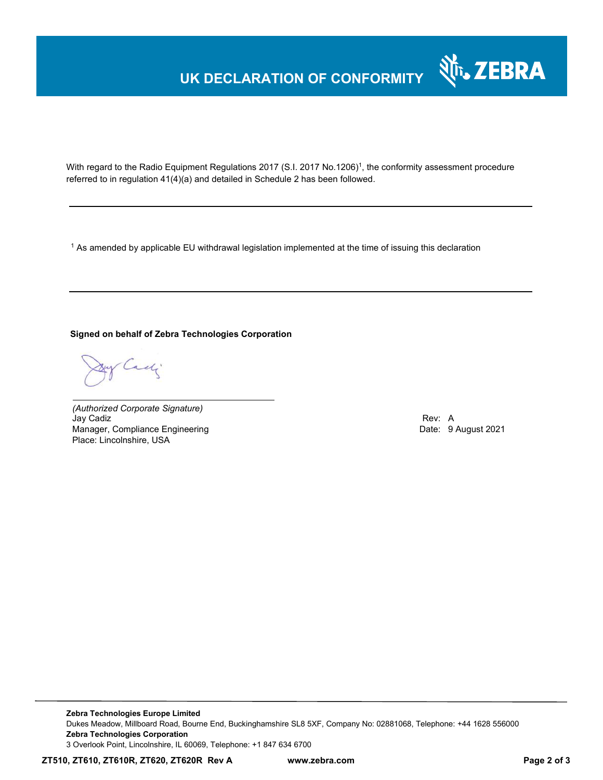# **UK DECLARATION OF CONFORMITY**



With regard to the Radio Equipment Regulations 2017 (S.I. 2017 No.1206)<sup>1</sup>, the conformity assessment procedure referred to in regulation 41(4)(a) and detailed in Schedule 2 has been followed.

 $^{\rm 1}$  As amended by applicable EU withdrawal legislation implemented at the time of issuing this declaration

### **Signed on behalf of Zebra Technologies Corporation**

Cady

*(Authorized Corporate Signature)* Jay Cadiz Rev: A Manager, Compliance Engineering **Date: 9 August 2021 Date: 9 August 2021** Place: Lincolnshire, USA

**Zebra Technologies Europe Limited**  Dukes Meadow, Millboard Road, Bourne End, Buckinghamshire SL8 5XF, Company No: 02881068, Telephone: +44 1628 556000 **Zebra Technologies Corporation**  3 Overlook Point, Lincolnshire, IL 60069, Telephone: +1 847 634 6700